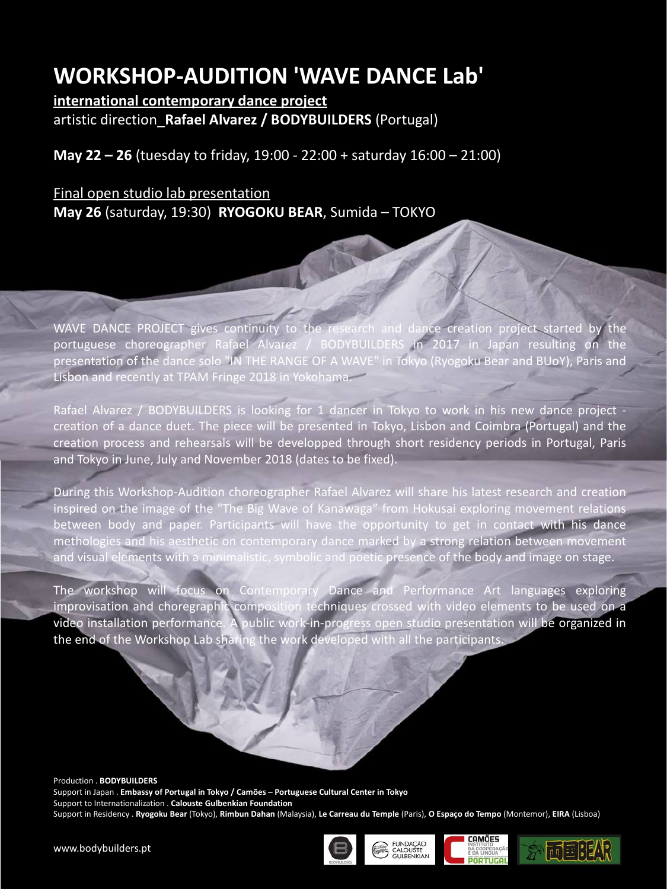# **WORKSHOP-AUDITION 'WAVE DANCE Lab'**

**international contemporary dance project** artistic direction\_**Rafael Alvarez / BODYBUILDERS** (Portugal)

**May 22 – 26** (tuesday to friday, 19:00 - 22:00 + saturday 16:00 – 21:00)

## Final open studio lab presentation **May 26** (saturday, 19:30) **RYOGOKU BEAR**, Sumida – TOKYO

WAVE DANCE PROJECT gives continuity to the research and dance creation project started by the portuguese choreographer Rafael Alvarez / BODYBUILDERS in 2017 in Japan resulting on the presentation of the dance solo "IN THE RANGE OF A WAVE" in Tokyo (Ryogoku Bear and BUoY), Paris and Lisbon and recently at TPAM Fringe 2018 in Yokohama.

Rafael Alvarez / BODYBUILDERS is looking for 1 dancer in Tokyo to work in his new dance project creation of a dance duet. The piece will be presented in Tokyo, Lisbon and Coimbra (Portugal) and the creation process and rehearsals will be developped through short residency periods in Portugal, Paris and Tokyo in June, July and November 2018 (dates to be fixed).

During this Workshop-Audition choreographer Rafael Alvarez will share his latest research and creation inspired on the image of the "The Big Wave of Kanawaga" from Hokusai exploring movement relations between body and paper. Participants will have the opportunity to get in contact with his dance methologies and his aesthetic on contemporary dance marked by a strong relation between movement and visual elements with a minimalistic, symbolic and poetic presence of the body and image on stage.

The workshop will focus on Contemporary Dance and Performance Art languages exploring improvisation and choregraphic composition techniques crossed with video elements to be used on a video installation performance. A public work-in-progress open studio presentation will be organized in the end of the Workshop Lab sharing the work developed with all the participants.

Production . **BODYBUILDERS** Support in Japan . **Embassy of Portugal in Tokyo / Camões – Portuguese Cultural Center in Tokyo** Support to Internationalization . **Calouste Gulbenkian Foundation** Support in Residency . **Ryogoku Bear** (Tokyo), **Rimbun Dahan** (Malaysia), **Le Carreau du Temple** (Paris), **O Espaço do Tempo** (Montemor), **EIRA** (Lisboa)







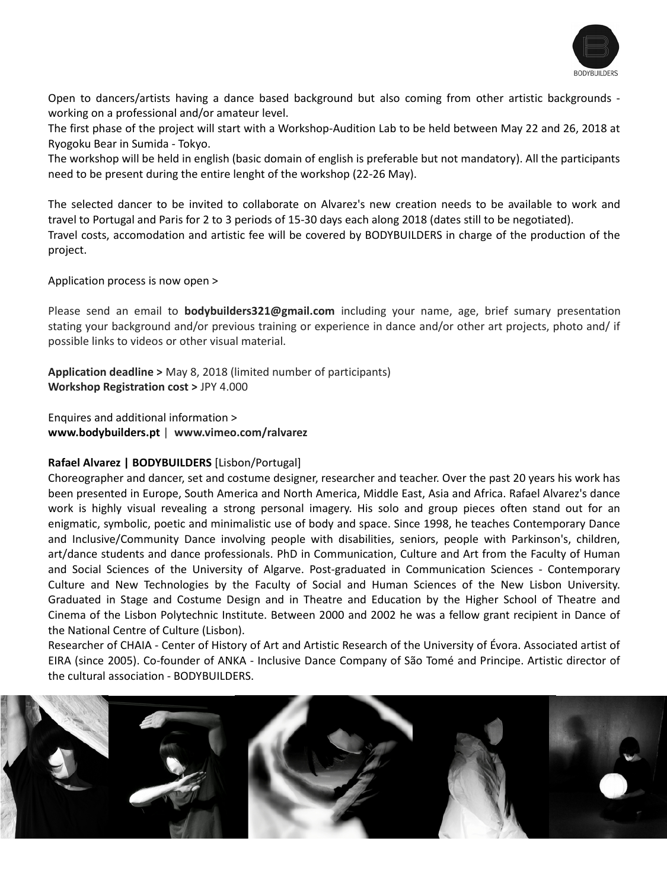

Open to dancers/artists having a dance based background but also coming from other artistic backgrounds working on a professional and/or amateur level.

The first phase of the project will start with a Workshop-Audition Lab to be held between May 22 and 26, 2018 at Ryogoku Bear in Sumida - Tokyo.

The workshop will be held in english (basic domain of english is preferable but not mandatory). All the participants need to be present during the entire lenght of the workshop (22-26 May).

The selected dancer to be invited to collaborate on Alvarez's new creation needs to be available to work and travel to Portugal and Paris for 2 to 3 periods of 15-30 days each along 2018 (dates still to be negotiated). Travel costs, accomodation and artistic fee will be covered by BODYBUILDERS in charge of the production of the project.

Application process is now open >

Please send an email to **bodybuilders321@gmail.com** including your name, age, brief sumary presentation stating your background and/or previous training or experience in dance and/or other art projects, photo and/ if possible links to videos or other visual material.

**Application deadline >** May 8, 2018 (limited number of participants) **Workshop Registration cost >** JPY 4.000

Enquires and additional information > **www.bodybuilders.pt** | **www.vimeo.com/ralvarez**

## **Rafael Alvarez | BODYBUILDERS** [Lisbon/Portugal]

Choreographer and dancer, set and costume designer, researcher and teacher. Over the past 20 years his work has been presented in Europe, South America and North America, Middle East, Asia and Africa. Rafael Alvarez's dance work is highly visual revealing a strong personal imagery. His solo and group pieces often stand out for an enigmatic, symbolic, poetic and minimalistic use of body and space. Since 1998, he teaches Contemporary Dance and Inclusive/Community Dance involving people with disabilities, seniors, people with Parkinson's, children, art/dance students and dance professionals. PhD in Communication, Culture and Art from the Faculty of Human and Social Sciences of the University of Algarve. Post-graduated in Communication Sciences - Contemporary Culture and New Technologies by the Faculty of Social and Human Sciences of the New Lisbon University. Graduated in Stage and Costume Design and in Theatre and Education by the Higher School of Theatre and Cinema of the Lisbon Polytechnic Institute. Between 2000 and 2002 he was a fellow grant recipient in Dance of the National Centre of Culture (Lisbon).

Researcher of CHAIA - Center of History of Art and Artistic Research of the University of Évora. Associated artist of EIRA (since 2005). Co-founder of ANKA - Inclusive Dance Company of São Tomé and Principe. Artistic director of the cultural association - BODYBUILDERS.

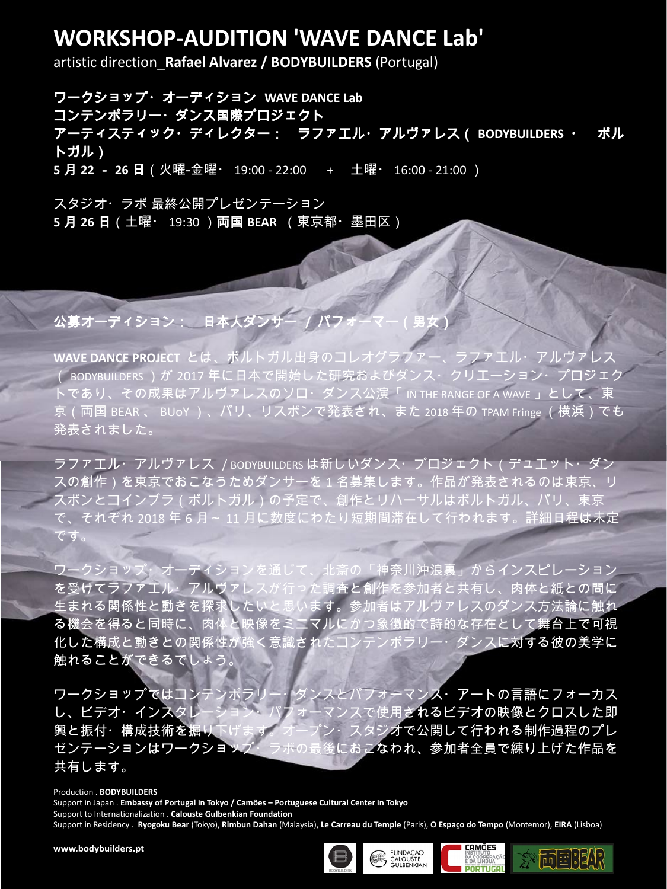## **WORKSHOP-AUDITION 'WAVE DANCE Lab'**

artistic direction\_**Rafael Alvarez / BODYBUILDERS** (Portugal)

ワークショップ・オーディション **WAVE DANCE Lab** コンテンポラリー・ダンス国際プロジェクト アーティスティック・ディレクター: ラファエル・アルヴァレス( **BODYBUILDERS** ・ ポル トガル) **5** 月 **22** - **26** 日(火曜‐金曜・ 19:00 ‐ 22:00 + 土曜・ 16:00 - 21:00 )

スタジオ・ラボ 最終公開プレゼンテーション **5** 月 **26** 日(土曜・ 19:30 )両国 **BEAR** (東京都・墨田区)

## 公募オーディション: 日本人ダンサー / パフ

**WAVE DANCE PROJECT** とは、ポルトガル出身のコレオグラファー、ラファエル・アルヴァレス ( BODYBUILDERS )が 2017 年に日本で開始した研究およびダンス・クリエーション・プロジェク トであり、その成果はアルヴァレスのソロ・ダンス公演「 IN THE RANGE OF A WAVE 」として、東 京 (両国 BFAR 、 BUoY ) 、パリ、リスボンで発表され、また 2018年の TPAM Fringe (横浜)でも 発表されました。

ラファエル・アルヴァレス / BODYBUILDERS は新しいダンス・プロジェクト(デュエット・ダン スの創作)を東京でおこなうためダンサーを 1 名募集します。作品が発表されるのは東京、リ スボンとコインブラ(ポルトガル)の予定で、創作とリハーサルはポルトガル、パリ、東京 で、それぞれ 2018 年 6 月~ 11 月に数度にわたり短期間滞在して行われます。詳細日程は未定 です。

ワークショップ・オーディションを通じて、北斎の「神奈川沖浪裏」からインスピレーション 。<br><mark>を受けてラファエル・アルヴァ</mark>レスが行った調査と創作を参加者と共有し、肉体と紙**との間に** 生まれる関係性と動きを探求したいと思います。参加者はアルヴァレスのダンス方法論に触れ ー。<br><mark>る機会を得ると同時に、</mark>肉体と映像をミニマルにかつ象徴的で詩的な存在として<mark>舞台上で可視</mark> 化した構成と動きとの関係性が強く意識されたコンテンポラリー・ダンスに対する彼の美学に 触れることができるでしょう。

ワークショップではコンテンポラリー・ダンスとパフォーマンス・アートの言語にフォーカス し、ビデオ・インスタレーション・パフォーマンスで使用されるビデオの映像とクロスした即 興と振付・構成技術を掘り下げます。オープン・スタジオで公開して行われる制作過程のプレ ゼンテーションはワークショップ・ラボの最後におこなわれ、参加者全員で練り上げた作品を 共有します。

#### Production . **BODYBUILDERS**

Support in Japan . **Embassy of Portugal in Tokyo / Camões – Portuguese Cultural Center in Tokyo** Support to Internationalization . **Calouste Gulbenkian Foundation** Support in Residency . **Ryogoku Bear** (Tokyo), **Rimbun Dahan** (Malaysia), **Le Carreau du Temple** (Paris), **O Espaço do Tempo** (Montemor), **EIRA** (Lisboa)